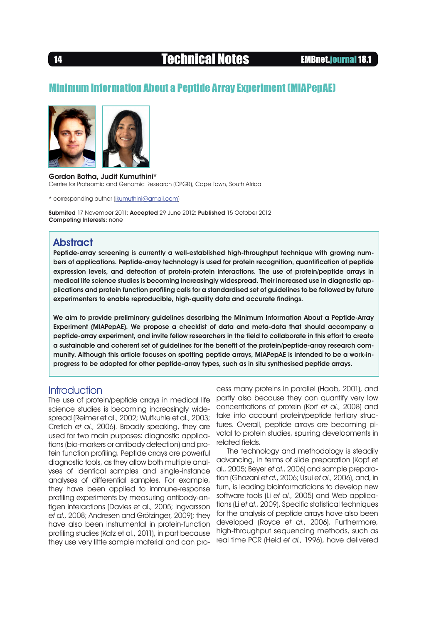# 14 Technical Notes EMBnet.journal 18.1

# Minimum Information About a Peptide Array Experiment (MIAPepAE)





Gordon Botha, Judit Kumuthini\* Centre for Proteomic and Genomic Research (CPGR), Cape Town, South Africa

\* corresponding author ([jkumuthini@gmail.com](mailto:jkumuthini%40gmail.com?subject=))

Submited 17 November 2011; Accepted 29 June 2012; Published 15 October 2012 Competing Interests: none

## **Abstract**

Peptide-array screening is currently a well-established high-throughput technique with growing numbers of applications. Peptide-array technology is used for protein recognition, quantification of peptide expression levels, and detection of protein-protein interactions. The use of protein/peptide arrays in medical life science studies is becoming increasingly widespread. Their increased use in diagnostic applications and protein function profiling calls for a standardised set of guidelines to be followed by future experimenters to enable reproducible, high-quality data and accurate findings.

We aim to provide preliminary guidelines describing the Minimum Information About a Peptide-Array Experiment (MIAPepAE). We propose a checklist of data and meta-data that should accompany a peptide-array experiment, and invite fellow researchers in the field to collaborate in this effort to create a sustainable and coherent set of guidelines for the benefit of the protein/peptide-array research community. Although this article focuses on spotting peptide arrays, MIAPepAE is intended to be a work-inprogress to be adopted for other peptide-array types, such as in situ synthesised peptide arrays.

### **Introduction**

The use of protein/peptide arrays in medical life science studies is becoming increasingly widespread (Reimer et al., 2002; Wulfkuhle et al., 2003; Cretich et al., 2006). Broadly speaking, they are used for two main purposes: diagnostic applications (bio-markers or antibody detection) and protein function profiling. Peptide arrays are powerful diagnostic tools, as they allow both multiple analyses of identical samples and single-instance analyses of differential samples. For example, they have been applied to immune-response profiling experiments by measuring antibody-antigen interactions (Davies et al., 2005; Ingvarsson et al., 2008; Andresen and Grötzinger, 2009); they have also been instrumental in protein-function profiling studies (Katz et al., 2011), in part because they use very little sample material and can pro-

cess many proteins in parallel (Haab, 2001), and partly also because they can quantify very low concentrations of protein (Korf et al., 2008) and take into account protein/peptide tertiary structures. Overall, peptide arrays are becoming pivotal to protein studies, spurring developments in related fields.

The technology and methodology is steadily advancing, in terms of slide preparation (Kopf et al., 2005; Beyer et al., 2006) and sample preparation (Ghazani et al., 2006; Usui et al., 2006), and, in turn, is leading bioinformaticians to develop new software tools (Li et al., 2005) and Web applications (Li et al., 2009). Specific statistical techniques for the analysis of peptide arrays have also been developed (Royce et al., 2006). Furthermore, high-throughput sequencing methods, such as real time PCR (Heid et al., 1996), have delivered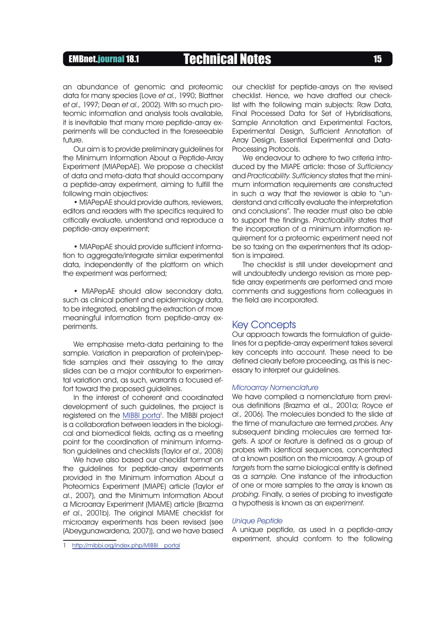# EMBnet.journal 18.1 Technical Notes 15

an abundance of genomic and proteomic data for many species (Love et al., 1990; Blattner et al., 1997; Dean et al., 2002). With so much proteomic information and analysis tools available, it is inevitable that many more peptide-array experiments will be conducted in the foreseeable  $f$ utur $\rho$ 

Our aim is to provide preliminary guidelines for the Minimum Information About a Peptide-Array Experiment (MIAPepAE). We propose a checklist of data and meta-data that should accompany a peptide-array experiment, aiming to fulfill the following main objectives:

• MIAPepAE should provide authors, reviewers, editors and readers with the specifics required to critically evaluate, understand and reproduce a peptide-array experiment;

• MIAPepAE should provide sufficient information to aggregate/integrate similar experimental data, independently of the platform on which the experiment was performed;

• MIAPepAE should allow secondary data, such as clinical patient and epidemiology data, to be integrated, enabling the extraction of more meaningful information from peptide-array experiments.

We emphasise meta-data pertaining to the sample. Variation in preparation of protein/peptide samples and their assaying to the array slides can be a major contributor to experimental variation and, as such, warrants a focused effort toward the proposed guidelines.

In the interest of coherent and coordinated development of such guidelines, the project is registered on the **MIBBI** porta<sup>1</sup>. The MIBBI project is a collaboration between leaders in the biological and biomedical fields, acting as a meeting point for the coordination of minimum information guidelines and checklists (Taylor et al., 2008)

We have also based our checklist format on the guidelines for peptide-array experiments provided in the Minimum Information About a Proteomics Experiment (MIAPE) article (Taylor et al., 2007), and the Minimum Information About a Microarray Experiment (MIAME) article (Brazma et al., 2001b). The original MIAME checklist for microarray experiments has been revised (see (Abeygunawardena, 2007)), and we have based

http://mibbi.org/index.php/MIBBI portal

our checklist for peptide-arrays on the revised checklist. Hence, we have drafted our checklist with the following main subjects: Raw Data, Final Processed Data for Set of Hybridisations, Sample Annotation and Experimental Factors, Experimental Design, Sufficient Annotation of Array Design, Essential Experimental and Data-Processing Protocols.

We endeavour to adhere to two criteria introduced by the MIAPE article: those of Sufficiency and Practicability. Sufficiency states that the minimum information requirements are constructed in such a way that the reviewer is able to "understand and critically evaluate the interpretation and conclusions". The reader must also be able to support the findings. Practicability states that the incorporation of a minimum information requirement for a proteomic experiment need not be so taxing on the experimenters that its adoption is impaired.

The checklist is still under development and will undoubtedly undergo revision as more peptide array experiments are performed and more comments and suggestions from colleagues in the field are incorporated.

### Key Concepts

Our approach towards the formulation of guidelines for a peptide-array experiment takes several key concepts into account. These need to be defined clearly before proceeding, as this is necessary to interpret our guidelines.

#### Microarray Nomenclature

We have compiled a nomenclature from previous definitions (Brazma et al., 2001a; Royce et al., 2006). The molecules bonded to the slide at the time of manufacture are termed probes. Any subsequent binding molecules are termed targets. A spot or feature is defined as a group of probes with identical sequences, concentrated at a known position on the microarray. A group of targets from the same biological entity is defined as a sample. One instance of the introduction of one or more samples to the array is known as probing. Finally, a series of probing to investigate a hypothesis is known as an experiment.

#### Unique Peptide

A unique peptide, as used in a peptide-array experiment, should conform to the following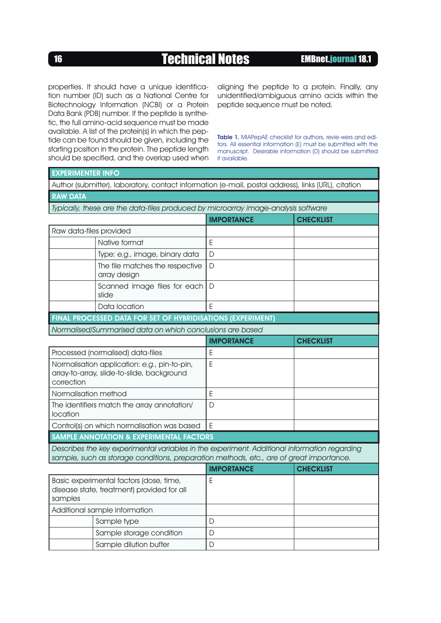# 16 **Technical Notes EMBnet.journal 18.1**

properties. It should have a unique identification number (ID) such as a National Centre for Biotechnology Information (NCBI) or a Protein Data Bank (PDB) number. If the peptide is synthetic, the full amino-acid sequence must be made available. A list of the protein(s) in which the peptide can be found should be given, including the starting position in the protein. The peptide length should be specified, and the overlap used when

aligning the peptide to a protein. Finally, any unidentified/ambiguous amino acids within the peptide sequence must be noted.

Table 1. MIAPepAE checklist for authors, revie-wers and editors. All essential information (E) must be submitted with the manuscript. Desirable information (D) should be submitted if available.

| <b>EXPERIMENTER INFO</b>                                                                                 |                                                                                                                                                                                         |                   |                  |
|----------------------------------------------------------------------------------------------------------|-----------------------------------------------------------------------------------------------------------------------------------------------------------------------------------------|-------------------|------------------|
|                                                                                                          | Author (submitter), laboratory, contact information (e-mail, postal address), links (URL), citation                                                                                     |                   |                  |
| <b>RAW DATA</b>                                                                                          |                                                                                                                                                                                         |                   |                  |
|                                                                                                          | Typically, these are the data-files produced by microarray image-analysis software                                                                                                      |                   |                  |
|                                                                                                          |                                                                                                                                                                                         | <b>IMPORTANCE</b> | <b>CHECKLIST</b> |
| Raw data-files provided                                                                                  |                                                                                                                                                                                         |                   |                  |
|                                                                                                          | Native format                                                                                                                                                                           | E                 |                  |
|                                                                                                          | Type: e.g., image, binary data                                                                                                                                                          | D                 |                  |
|                                                                                                          | The file matches the respective<br>array design                                                                                                                                         | D                 |                  |
|                                                                                                          | Scanned image files for each<br>slide                                                                                                                                                   | D                 |                  |
|                                                                                                          | Data location                                                                                                                                                                           | E                 |                  |
|                                                                                                          | FINAL PROCESSED DATA FOR SET OF HYBRIDISATIONS (EXPERIMENT)                                                                                                                             |                   |                  |
| Normalised/Summarised data on which conclusions are based                                                |                                                                                                                                                                                         |                   |                  |
|                                                                                                          |                                                                                                                                                                                         | <b>IMPORTANCE</b> | <b>CHECKLIST</b> |
|                                                                                                          | Processed (normalised) data-files                                                                                                                                                       | E                 |                  |
| Normalisation application: e.g., pin-to-pin,<br>array-to-array, slide-to-slide, background<br>correction |                                                                                                                                                                                         | E                 |                  |
| Normalisation method                                                                                     |                                                                                                                                                                                         | E                 |                  |
| The identifiers match the array annotation/<br>location                                                  |                                                                                                                                                                                         | D                 |                  |
|                                                                                                          | Control(s) on which normalisation was based                                                                                                                                             | E                 |                  |
|                                                                                                          | <b>SAMPLE ANNOTATION &amp; EXPERIMENTAL FACTORS</b>                                                                                                                                     |                   |                  |
|                                                                                                          | Describes the key experimental variables in the experiment. Additional information regarding<br>sample, such as storage conditions, preparation methods, etc., are of great importance. |                   |                  |
|                                                                                                          |                                                                                                                                                                                         | <b>IMPORTANCE</b> | <b>CHECKLIST</b> |
| Basic experimental factors (dose, time,<br>disease state, treatment) provided for all<br>samples         |                                                                                                                                                                                         | E                 |                  |
| Additional sample information                                                                            |                                                                                                                                                                                         |                   |                  |
|                                                                                                          | Sample type                                                                                                                                                                             | D                 |                  |
|                                                                                                          | Sample storage condition                                                                                                                                                                | D                 |                  |
|                                                                                                          | Sample dilution buffer                                                                                                                                                                  | D                 |                  |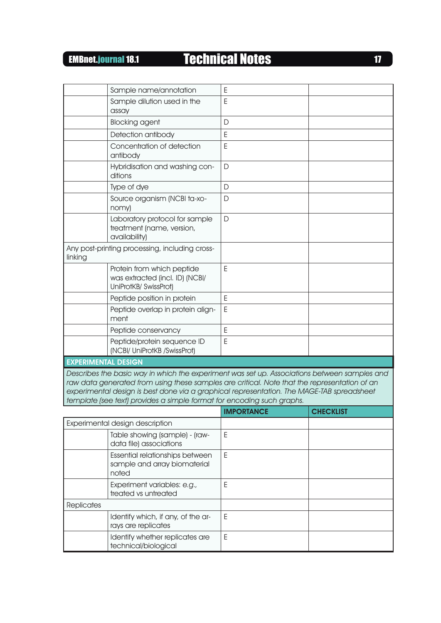# EMBnet.journal 18.1 Technical Notes EMBnet.journal 18.1

| Sample name/annotation                                                                 | E |
|----------------------------------------------------------------------------------------|---|
| Sample dilution used in the<br>assay                                                   | E |
| <b>Blocking agent</b>                                                                  | D |
| Detection antibody                                                                     | E |
| Concentration of detection<br>antibody                                                 | E |
| Hybridisation and washing con-<br>ditions                                              | D |
| Type of dye                                                                            | D |
| Source organism (NCBI ta-xo-<br>nomy)                                                  | D |
| Laboratory protocol for sample<br>treatment (name, version,<br>availability)           | D |
| Any post-printing processing, including cross-<br>linking                              |   |
| Protein from which peptide<br>was extracted (incl. ID) (NCBI/<br>UniProtKB/ SwissProt) | E |
| Peptide position in protein                                                            | E |
| Peptide overlap in protein align-<br>ment                                              | E |
| Peptide conservancy                                                                    | E |
| Peptide/protein sequence ID<br>(NCBI/ UniProtKB /SwissProt)                            | E |
| <b>EXPERIMENTAL DESIGN</b>                                                             |   |

Describes the basic way in which the experiment was set up. Associations between samples and raw data generated from using these samples are critical. Note that the representation of an experimental design is best done via a graphical representation. The MAGE-TAB spreadsheet template (see text) provides a simple format for encoding such graphs.

|                                 |                                                                          | <b>IMPORTANCE</b> | <b>CHECKLIST</b> |
|---------------------------------|--------------------------------------------------------------------------|-------------------|------------------|
| Experimental design description |                                                                          |                   |                  |
|                                 | Table showing (sample) - (raw-<br>data file) associations                | E                 |                  |
|                                 | Essential relationships between<br>sample and array biomaterial<br>noted | F                 |                  |
|                                 | Experiment variables: e.g.,<br>treated vs untreated                      | Е                 |                  |
| <b>Replicates</b>               |                                                                          |                   |                  |
|                                 | Identify which, if any, of the ar-<br>rays are replicates                | E                 |                  |
|                                 | Identify whether replicates are<br>technical/biological                  | E                 |                  |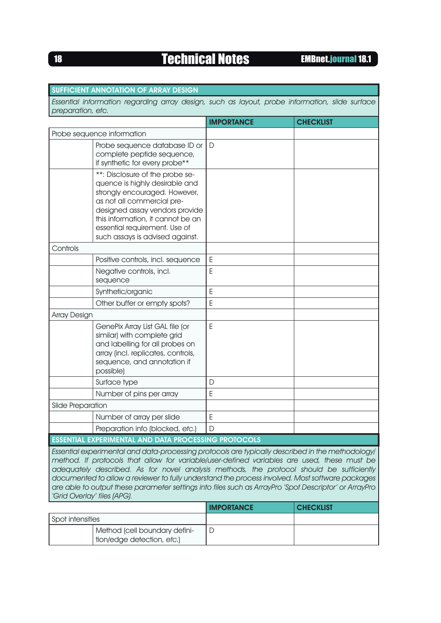# **18 Technical Notes EMBnet.journal 18.1**

|                                                                                                                                                                                                                                                                                                                                                                                                                                                                                                                                        | <b>SUFFICIENT ANNOTATION OF ARRAY DESIGN</b>                                                                                                                                                                                                                                |                   |                  |
|----------------------------------------------------------------------------------------------------------------------------------------------------------------------------------------------------------------------------------------------------------------------------------------------------------------------------------------------------------------------------------------------------------------------------------------------------------------------------------------------------------------------------------------|-----------------------------------------------------------------------------------------------------------------------------------------------------------------------------------------------------------------------------------------------------------------------------|-------------------|------------------|
| Essential information regarding array design, such as layout, probe information, slide surface<br>preparation, etc.                                                                                                                                                                                                                                                                                                                                                                                                                    |                                                                                                                                                                                                                                                                             |                   |                  |
|                                                                                                                                                                                                                                                                                                                                                                                                                                                                                                                                        |                                                                                                                                                                                                                                                                             | <b>IMPORTANCE</b> | <b>CHECKLIST</b> |
|                                                                                                                                                                                                                                                                                                                                                                                                                                                                                                                                        | Probe sequence information                                                                                                                                                                                                                                                  |                   |                  |
|                                                                                                                                                                                                                                                                                                                                                                                                                                                                                                                                        | Probe sequence database ID or<br>complete peptide sequence,<br>if synthetic for every probe**                                                                                                                                                                               | D                 |                  |
|                                                                                                                                                                                                                                                                                                                                                                                                                                                                                                                                        | **: Disclosure of the probe se-<br>quence is highly desirable and<br>strongly encouraged. However,<br>as not all commercial pre-<br>designed assay vendors provide<br>this information, it cannot be an<br>essential requirement. Use of<br>such assays is advised against. |                   |                  |
| Controls                                                                                                                                                                                                                                                                                                                                                                                                                                                                                                                               |                                                                                                                                                                                                                                                                             |                   |                  |
|                                                                                                                                                                                                                                                                                                                                                                                                                                                                                                                                        | Positive controls, incl. sequence                                                                                                                                                                                                                                           | E                 |                  |
|                                                                                                                                                                                                                                                                                                                                                                                                                                                                                                                                        | Negative controls, incl.<br>sequence                                                                                                                                                                                                                                        | E                 |                  |
|                                                                                                                                                                                                                                                                                                                                                                                                                                                                                                                                        | Synthetic/organic                                                                                                                                                                                                                                                           | E                 |                  |
|                                                                                                                                                                                                                                                                                                                                                                                                                                                                                                                                        | Other buffer or empty spots?                                                                                                                                                                                                                                                | Ε                 |                  |
| <b>Array Design</b>                                                                                                                                                                                                                                                                                                                                                                                                                                                                                                                    |                                                                                                                                                                                                                                                                             |                   |                  |
|                                                                                                                                                                                                                                                                                                                                                                                                                                                                                                                                        | GenePix Array List GAL file (or<br>similar) with complete grid<br>and labelling for all probes on<br>array (incl. replicates, controls,<br>sequence, and annotation if<br>possible)                                                                                         | Ε                 |                  |
|                                                                                                                                                                                                                                                                                                                                                                                                                                                                                                                                        | Surface type                                                                                                                                                                                                                                                                | D                 |                  |
|                                                                                                                                                                                                                                                                                                                                                                                                                                                                                                                                        | Number of pins per array                                                                                                                                                                                                                                                    | E                 |                  |
| Slide Preparation                                                                                                                                                                                                                                                                                                                                                                                                                                                                                                                      |                                                                                                                                                                                                                                                                             |                   |                  |
|                                                                                                                                                                                                                                                                                                                                                                                                                                                                                                                                        | Number of array per slide                                                                                                                                                                                                                                                   | Ε                 |                  |
|                                                                                                                                                                                                                                                                                                                                                                                                                                                                                                                                        | Preparation info (blocked, etc.)                                                                                                                                                                                                                                            | D                 |                  |
|                                                                                                                                                                                                                                                                                                                                                                                                                                                                                                                                        | <b>ESSENTIAL EXPERIMENTAL AND DATA PROCESSING PROTOCOLS</b>                                                                                                                                                                                                                 |                   |                  |
| Essential experimental and data-processing protocols are typically described in the methodology/<br>method. If protocols that allow for variable/user-defined variables are used, these must be<br>adequately described. As for novel analysis methods, the protocol should be sufficiently<br>documented to allow a reviewer to fully understand the process involved. Most software packages<br>are able to output these parameter settings into files such as ArrayPro 'Spot Descriptor' or ArrayPro<br>'Grid Overlay' files (APG). |                                                                                                                                                                                                                                                                             |                   |                  |
|                                                                                                                                                                                                                                                                                                                                                                                                                                                                                                                                        |                                                                                                                                                                                                                                                                             | <b>IMPORTANCE</b> | <b>CHECKLIST</b> |
| Spot intensities                                                                                                                                                                                                                                                                                                                                                                                                                                                                                                                       |                                                                                                                                                                                                                                                                             |                   |                  |

D

Method (cell boundary definition/edge detection, etc.)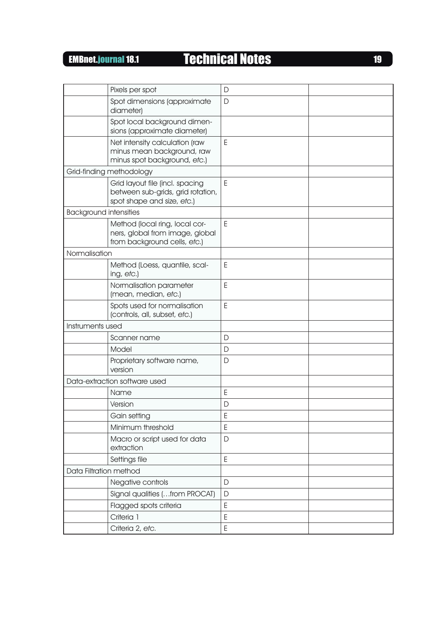EMBnet.journal 18.1 Technical Notes EMBnet.journal 18.1

|                               | Pixels per spot                                                                                    | $\mathsf{D}$ |  |
|-------------------------------|----------------------------------------------------------------------------------------------------|--------------|--|
|                               | Spot dimensions (approximate<br>diameter)                                                          | D            |  |
|                               | Spot local background dimen-<br>sions (approximate diameter)                                       |              |  |
|                               | Net intensity calculation (raw<br>minus mean background, raw<br>minus spot background, etc.)       | E            |  |
|                               | Grid-finding methodology                                                                           |              |  |
|                               | Grid layout file (incl. spacing<br>between sub-grids, grid rotation,<br>spot shape and size, etc.) | E            |  |
| <b>Background intensities</b> |                                                                                                    |              |  |
|                               | Method (local ring, local cor-<br>ners, global from image, global<br>from background cells, etc.)  | E            |  |
| Normalisation                 |                                                                                                    |              |  |
|                               | Method (Loess, quantile, scal-<br>ing, etc.)                                                       | E            |  |
|                               | Normalisation parameter<br>(mean, median, etc.)                                                    | E            |  |
|                               | Spots used for normalisation<br>(controls, all, subset, etc.)                                      | E            |  |
| Instruments used              |                                                                                                    |              |  |
|                               | Scanner name                                                                                       | D            |  |
|                               | Model                                                                                              | D            |  |
|                               | Proprietary software name,<br>version                                                              | D            |  |
|                               | Data-extraction software used                                                                      |              |  |
|                               | Name                                                                                               | E            |  |
|                               | Version                                                                                            | D            |  |
|                               | Gain setting                                                                                       | E            |  |
|                               | Minimum threshold                                                                                  | E            |  |
|                               | Macro or script used for data<br>extraction                                                        | D            |  |
|                               | Settings file                                                                                      | E            |  |
| Data Filtration method        |                                                                                                    |              |  |
|                               | Negative controls                                                                                  | D            |  |
|                               | Signal qualities ( from PROCAT)                                                                    | $\mathsf{D}$ |  |
|                               | Flagged spots criteria                                                                             | E            |  |
|                               | Criteria 1                                                                                         | E            |  |
|                               | Criteria 2, etc.                                                                                   | E            |  |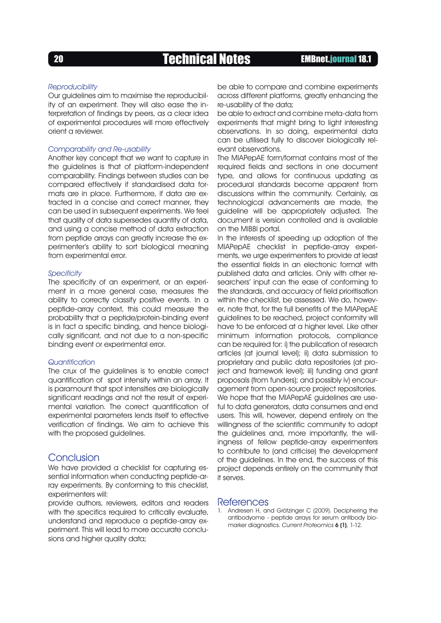### Reproducibility

Our guidelines aim to maximise the reproducibility of an experiment. They will also ease the interpretation of findings by peers, as a clear idea of experimental procedures will more effectively orient a reviewer.

### Comparability and Re-usability

Another key concept that we want to capture in the guidelines is that of platform-independent comparability. Findings between studies can be compared effectively if standardised data formats are in place. Furthermore, if data are extracted in a concise and correct manner, they can be used in subsequent experiments. We feel that quality of data supersedes quantity of data, and using a concise method of data extraction from peptide arrays can greatly increase the experimenter's ability to sort biological meaning from experimental error.

### **Specificity**

The specificity of an experiment, or an experiment in a more general case, measures the ability to correctly classify positive events. In a peptide-array context, this could measure the probability that a peptide/protein-binding event is in fact a specific binding, and hence biologically significant, and not due to a non-specific binding event or experimental error.

### **Quantification**

The crux of the guidelines is to enable correct quantification of spot intensity within an array. It is paramount that spot intensities are biologically significant readings and not the result of experimental variation. The correct quantification of experimental parameters lends itself to effective verification of findings. We aim to achieve this with the proposed guidelines.

## Conclusion

We have provided a checklist for capturing essential information when conducting peptide-array experiments. By conforming to this checklist, experimenters will:

provide authors, reviewers, editors and readers with the specifics required to critically evaluate, understand and reproduce a peptide-array experiment. This will lead to more accurate conclusions and higher quality data;

be able to compare and combine experiments across different platforms, greatly enhancing the re-usability of the data;

be able to extract and combine meta-data from experiments that might bring to light interesting observations. In so doing, experimental data can be utilised fully to discover biologically relevant observations.

The MIAPepAE form/format contains most of the required fields and sections in one document type, and allows for continuous updating as procedural standards become apparent from discussions within the community. Certainly, as technological advancements are made, the guideline will be appropriately adjusted. The document is version controlled and is available on the MIBBI portal.

In the interests of speeding up adoption of the MIAPepAE checklist in peptide-array experiments, we urge experimenters to provide at least the essential fields in an electronic format with published data and articles. Only with other researchers' input can the ease of conforming to the standards, and accuracy of field prioritisation within the checklist, be assessed. We do, however, note that, for the full benefits of the MIAPepAE guidelines to be reached, project conformity will have to be enforced at a higher level. Like other minimum information protocols, compliance can be required for: i) the publication of research articles (at journal level); ii) data submission to proprietary and public data repositories (at project and framework level); iii) funding and grant proposals (from funders); and possibly iv) encouragement from open-source project repositories. We hope that the MIAPepAE guidelines are useful to data generators, data consumers and end users. This will, however, depend entirely on the willingness of the scientific community to adopt the guidelines and, more importantly, the willingness of fellow peptide-array experimenters to contribute to (and criticise) the development of the guidelines. In the end, the success of this project depends entirely on the community that it serves.

### **References**

Andresen H, and Grötzinger C (2009). Deciphering the antibodyome - peptide arrays for serum antibody biomarker diagnostics. Current Proteomics **6 (1)**, 1-12.